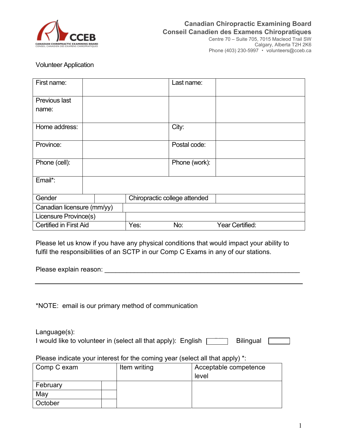

## **Canadian Chiropractic Examining Board Conseil Canadien des Examens Chiropratiques**

Centre 70 – Suite 705, 7015 Macleod Trail SW Calgary, Alberta T2H 2K6 Phone (403) 230-5997 • volunteers@cceb.ca

## Volunteer Application

| First name:                   |  |                               | Last name:    |                 |
|-------------------------------|--|-------------------------------|---------------|-----------------|
| Previous last<br>name:        |  |                               |               |                 |
| Home address:                 |  |                               | City:         |                 |
| Province:                     |  |                               | Postal code:  |                 |
| Phone (cell):                 |  |                               | Phone (work): |                 |
| Email*:                       |  |                               |               |                 |
| Gender                        |  | Chiropractic college attended |               |                 |
| Canadian licensure (mm/yy)    |  |                               |               |                 |
| Licensure Province(s)         |  |                               |               |                 |
| <b>Certified in First Aid</b> |  | Yes:                          | No:           | Year Certified: |

Please let us know if you have any physical conditions that would impact your ability to fulfil the responsibilities of an SCTP in our Comp C Exams in any of our stations.

Please explain reason: **Example 20** and the set of the set of the set of the set of the set of the set of the set of the set of the set of the set of the set of the set of the set of the set of the set of the set of the se

\*NOTE: email is our primary method of communication

Language(s): I would like to volunteer in (select all that apply): English  $\Box$  Bilingual  $\Box$ 

Please indicate your interest for the coming year (select all that apply) \*:

| Comp C exam |  | Item writing | Acceptable competence |
|-------------|--|--------------|-----------------------|
|             |  |              | level                 |
| February    |  |              |                       |
| May         |  |              |                       |
| October     |  |              |                       |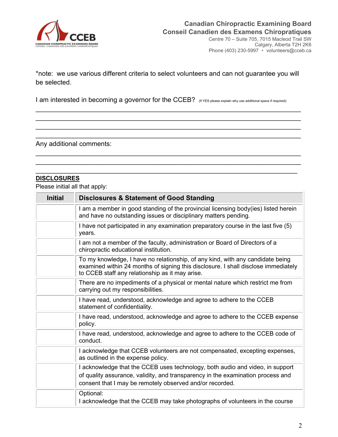

Calgary, Alberta T2H 2K6 Phone (403) 230-5997 volunteers@cceb.ca

\*note: we use various different criteria to select volunteers and can not guarantee you will be selected.

\_\_\_\_\_\_\_\_\_\_\_\_\_\_\_\_\_\_\_\_\_\_\_\_\_\_\_\_\_\_\_\_\_\_\_\_\_\_\_\_\_\_\_\_\_\_\_\_\_\_\_\_\_\_\_\_\_\_\_\_\_\_\_\_\_\_\_\_\_\_\_\_ \_\_\_\_\_\_\_\_\_\_\_\_\_\_\_\_\_\_\_\_\_\_\_\_\_\_\_\_\_\_\_\_\_\_\_\_\_\_\_\_\_\_\_\_\_\_\_\_\_\_\_\_\_\_\_\_\_\_\_\_\_\_\_\_\_\_\_\_\_\_\_\_ \_\_\_\_\_\_\_\_\_\_\_\_\_\_\_\_\_\_\_\_\_\_\_\_\_\_\_\_\_\_\_\_\_\_\_\_\_\_\_\_\_\_\_\_\_\_\_\_\_\_\_\_\_\_\_\_\_\_\_\_\_\_\_\_\_\_\_\_\_\_\_\_ \_\_\_\_\_\_\_\_\_\_\_\_\_\_\_\_\_\_\_\_\_\_\_\_\_\_\_\_\_\_\_\_\_\_\_\_\_\_\_\_\_\_\_\_\_\_\_\_\_\_\_\_\_\_\_\_\_\_\_\_\_\_\_\_\_\_\_\_\_\_\_\_

\_\_\_\_\_\_\_\_\_\_\_\_\_\_\_\_\_\_\_\_\_\_\_\_\_\_\_\_\_\_\_\_\_\_\_\_\_\_\_\_\_\_\_\_\_\_\_\_\_\_\_\_\_\_\_\_\_\_\_\_\_\_\_\_\_\_\_\_\_\_\_\_ \_\_\_\_\_\_\_\_\_\_\_\_\_\_\_\_\_\_\_\_\_\_\_\_\_\_\_\_\_\_\_\_\_\_\_\_\_\_\_\_\_\_\_\_\_\_\_\_\_\_\_\_\_\_\_\_\_\_\_\_\_\_\_\_\_\_\_\_\_\_\_\_ \_\_\_\_\_\_\_\_\_\_\_\_\_\_\_\_\_\_\_\_\_\_\_\_\_\_\_\_\_\_\_\_\_\_\_\_\_\_\_\_\_\_\_\_\_\_\_\_\_\_\_\_\_\_\_\_\_\_\_\_\_\_\_\_\_\_\_\_\_\_\_

I am interested in becoming a governor for the CCEB? (If YES please explain why use additional space if required):

Any additional comments:

## **DISCLOSURES**

Please initial all that apply:

| <b>Initial</b> | <b>Disclosures &amp; Statement of Good Standing</b>                                                                                                                                                                          |
|----------------|------------------------------------------------------------------------------------------------------------------------------------------------------------------------------------------------------------------------------|
|                | I am a member in good standing of the provincial licensing body(ies) listed herein<br>and have no outstanding issues or disciplinary matters pending.                                                                        |
|                | I have not participated in any examination preparatory course in the last five (5)<br>years.                                                                                                                                 |
|                | I am not a member of the faculty, administration or Board of Directors of a<br>chiropractic educational institution.                                                                                                         |
|                | To my knowledge, I have no relationship, of any kind, with any candidate being<br>examined within 24 months of signing this disclosure. I shall disclose immediately<br>to CCEB staff any relationship as it may arise.      |
|                | There are no impediments of a physical or mental nature which restrict me from<br>carrying out my responsibilities.                                                                                                          |
|                | I have read, understood, acknowledge and agree to adhere to the CCEB<br>statement of confidentiality.                                                                                                                        |
|                | I have read, understood, acknowledge and agree to adhere to the CCEB expense<br>policy.                                                                                                                                      |
|                | I have read, understood, acknowledge and agree to adhere to the CCEB code of<br>conduct.                                                                                                                                     |
|                | I acknowledge that CCEB volunteers are not compensated, excepting expenses,<br>as outlined in the expense policy.                                                                                                            |
|                | I acknowledge that the CCEB uses technology, both audio and video, in support<br>of quality assurance, validity, and transparency in the examination process and<br>consent that I may be remotely observed and/or recorded. |
|                | Optional:<br>I acknowledge that the CCEB may take photographs of volunteers in the course                                                                                                                                    |